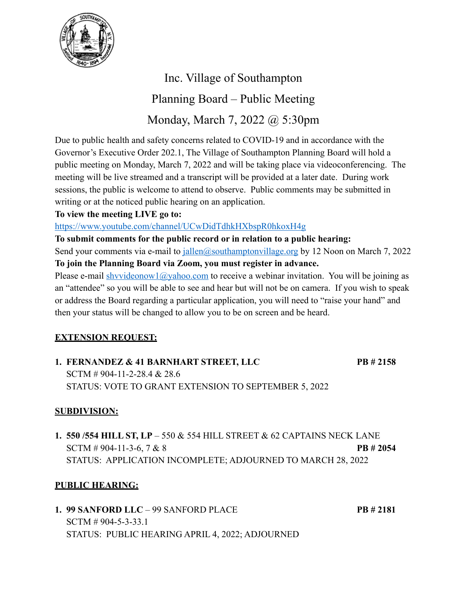

Inc. Village of Southampton Planning Board – Public Meeting Monday, March 7, 2022 @ 5:30pm

Due to public health and safety concerns related to COVID-19 and in accordance with the Governor's Executive Order 202.1, The Village of Southampton Planning Board will hold a public meeting on Monday, March 7, 2022 and will be taking place via videoconferencing. The meeting will be live streamed and a transcript will be provided at a later date. During work sessions, the public is welcome to attend to observe. Public comments may be submitted in writing or at the noticed public hearing on an application.

### **To view the meeting LIVE go to:**

<https://www.youtube.com/channel/UCwDidTdhkHXbspR0hkoxH4g>

**To submit comments for the public record or in relation to a public hearing:**

Send your comments via e-mail to [jallen@southamptonvillage.org](mailto:jallen@southamptonvillage.org) by 12 Noon on March 7, 2022 **To join the Planning Board via Zoom, you must register in advance.** 

Please e-mail [shvvideonow1@yahoo.com](mailto:shvvideonow1@yahoo.com) to receive a webinar invitation. You will be joining as an "attendee" so you will be able to see and hear but will not be on camera. If you wish to speak or address the Board regarding a particular application, you will need to "raise your hand" and then your status will be changed to allow you to be on screen and be heard.

# **EXTENSION REQUEST:**

**1. FERNANDEZ & 41 BARNHART STREET, LLC PB # 2158** SCTM # 904-11-2-28.4 & 28.6 STATUS: VOTE TO GRANT EXTENSION TO SEPTEMBER 5, 2022

## **SUBDIVISION:**

**1. 550 /554 HILL ST, LP** – 550 & 554 HILL STREET & 62 CAPTAINS NECK LANE SCTM # 904-11-3-6, 7 & 8 **PB # 2054** STATUS: APPLICATION INCOMPLETE; ADJOURNED TO MARCH 28, 2022

## **PUBLIC HEARING:**

**1. 99 SANFORD LLC** – 99 SANFORD PLACE **PB # 2181** SCTM # 904-5-3-33.1 STATUS: PUBLIC HEARING APRIL 4, 2022; ADJOURNED